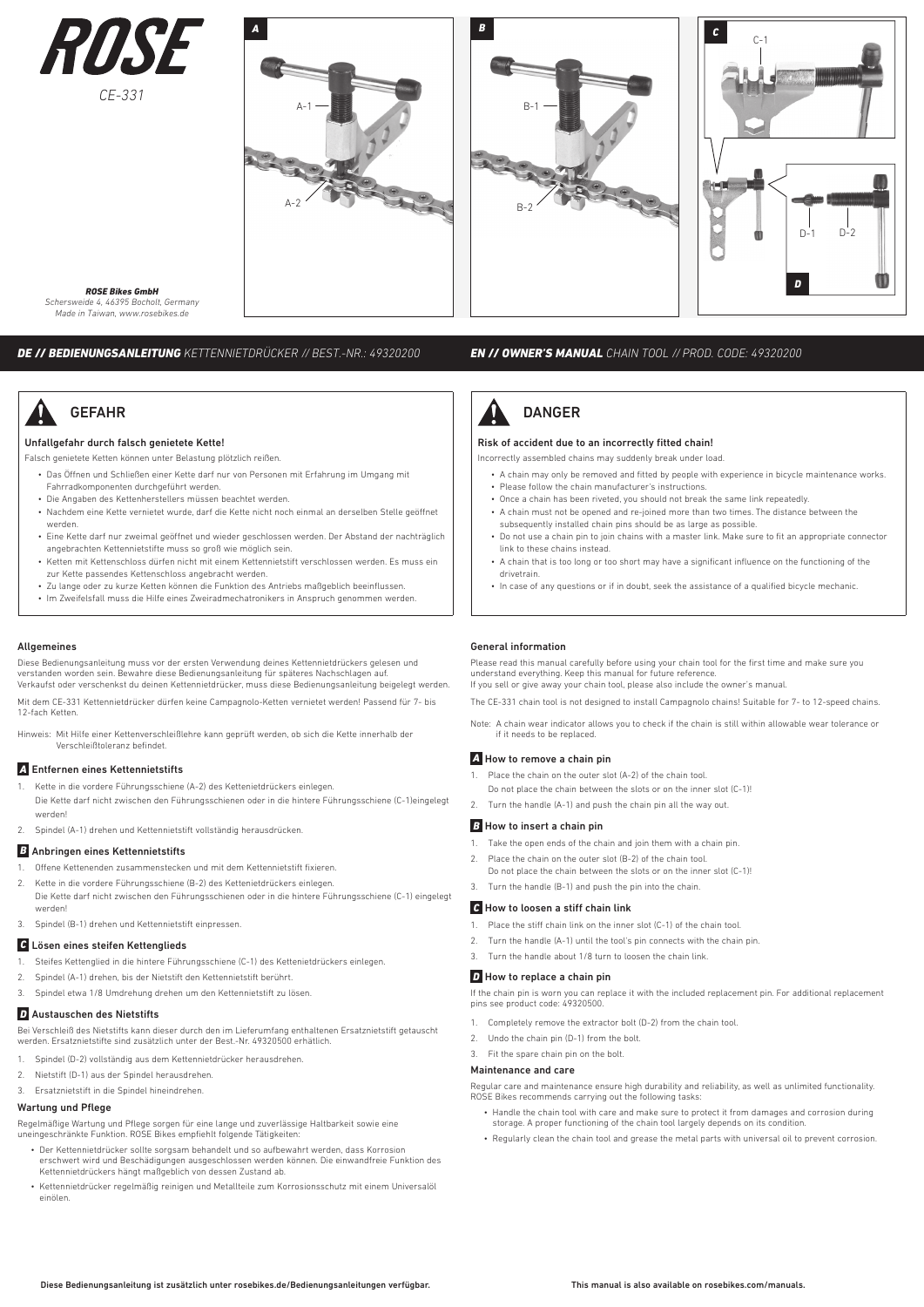



#### *ROSE Bikes GmbH*

*Schersweide 4, 46395 Bocholt, Germany Made in Taiwan, www.rosebikes.de*

*DE // BEDIENUNGSANLEITUNG KETTENNIETDRÜCKER // BEST.-NR.: 49320200*

# **GEFAHR**

#### Unfallgefahr durch falsch genietete Kette!

Falsch genietete Ketten können unter Belastung plötzlich reißen.

- Das Öffnen und Schließen einer Kette darf nur von Personen mit Erfahrung im Umgang mit Fahrradkomponenten durchgeführt werden.
- Die Angaben des Kettenherstellers müssen beachtet werden.
- Nachdem eine Kette vernietet wurde, darf die Kette nicht noch einmal an derselben Stelle geöffnet werden. • Eine Kette darf nur zweimal geöffnet und wieder geschlossen werden. Der Abstand der nachträglich
- angebrachten Kettennietstifte muss so groß wie möglich sein.
- Ketten mit Kettenschloss dürfen nicht mit einem Kettennietstift verschlossen werden. Es muss ein zur Kette passendes Kettenschloss angebracht werden.
- Zu lange oder zu kurze Ketten können die Funktion des Antriebs maßgeblich beeinflussen.
- Im Zweifelsfall muss die Hilfe eines Zweiradmechatronikers in Anspruch genommen werden.

#### Allgemeines

Diese Bedienungsanleitung muss vor der ersten Verwendung deines Kettennietdrückers gelesen und verstanden worden sein. Bewahre diese Bedienungsanleitung für späteres Nachschlagen auf. Verkaufst oder verschenkst du deinen Kettennietdrücker, muss diese Bedienungsanleitung beigelegt werden.

Mit dem CE-331 Kettennietdrücker dürfen keine Campagnolo-Ketten vernietet werden! Passend für 7- bis 12-fach Ketten.

Hinweis: Mit Hilfe einer Kettenverschleißlehre kann geprüft werden, ob sich die Kette innerhalb der Verschleißtoleranz befindet.

## *A* Entfernen eines Kettennietstifts

- 1. Kette in die vordere Führungsschiene (A-2) des Kettenietdrückers einlegen. Die Kette darf nicht zwischen den Führungsschienen oder in die hintere Führungsschiene (C-1)eingelegt werden!
- 2. Spindel (A-1) drehen und Kettennietstift vollständig herausdrücken.

#### *B* Anbringen eines Kettennietstifts

- 1. Offene Kettenenden zusammenstecken und mit dem Kettennietstift fixieren.
- 2. Kette in die vordere Führungsschiene (B-2) des Kettenietdrückers einlegen. Die Kette darf nicht zwischen den Führungsschienen oder in die hintere Führungsschiene (C-1) eingelegt werden!

3. Spindel (B-1) drehen und Kettennietstift einpressen.

#### *C* Lösen eines steifen Kettenglieds

- 1. Steifes Kettenglied in die hintere Führungsschiene (C-1) des Kettenietdrückers einlegen.
- 2. Spindel (A-1) drehen, bis der Nietstift den Kettennietstift berührt.
- 3. Spindel etwa 1/8 Umdrehung drehen um den Kettennietstift zu lösen.

## *D* Austauschen des Nietstifts

Bei Verschleiß des Nietstifts kann dieser durch den im Lieferumfang enthaltenen Ersatznietstift getauscht werden. Ersatznietstifte sind zusätzlich unter der Best.-Nr. 49320500 erhätlich.

- 1. Spindel (D-2) vollständig aus dem Kettennietdrücker herausdrehen.
- 2. Nietstift (D-1) aus der Spindel herausdrehen.
- 3. Ersatznietstift in die Spindel hineindrehen.

#### Wartung und Pflege

Regelmäßige Wartung und Pflege sorgen für eine lange und zuverlässige Haltbarkeit sowie eine uneingeschränkte Funktion. ROSE Bikes empfiehlt folgende Tätigkeiten:

- Der Kettennietdrücker sollte sorgsam behandelt und so aufbewahrt werden, dass Korrosion erschwert wird und Beschädigungen ausgeschlossen werden können. Die einwandfreie Funktion des Kettennietdrückers hängt maßgeblich von dessen Zustand ab.
- Kettennietdrücker regelmäßig reinigen und Metallteile zum Korrosionsschutz mit einem Universalöl einölen.

### *EN // OWNER'S MANUAL CHAIN TOOL // PROD. CODE: 49320200*



#### Risk of accident due to an incorrectly fitted chain!

Incorrectly assembled chains may suddenly break under load.

- A chain may only be removed and fitted by people with experience in bicycle maintenance works. • Please follow the chain manufacturer's instructions.
- 
- Once a chain has been riveted, you should not break the same link repeatedly. • A chain must not be opened and re-joined more than two times. The distance between the
- subsequently installed chain pins should be as large as possible. • Do not use a chain pin to join chains with a master link. Make sure to fit an appropriate connector
- link to these chains instead. • A chain that is too long or too short may have a significant influence on the functioning of the
- drivetrain.
- In case of any questions or if in doubt, seek the assistance of a qualified bicycle mechanic.

#### General information

Please read this manual carefully before using your chain tool for the first time and make sure you understand everything. Keep this manual for future reference. If you sell or give away your chain tool, please also include the owner's manual.

The CE-331 chain tool is not designed to install Campagnolo chains! Suitable for 7- to 12-speed chains.

Note: A chain wear indicator allows you to check if the chain is still within allowable wear tolerance or if it needs to be replaced.

## *A* How to remove a chain pin

- Place the chain on the outer slot (A-2) of the chain tool
- Do not place the chain between the slots or on the inner slot (C-1)!
- 2. Turn the handle (A-1) and push the chain pin all the way out.

#### *B* How to insert a chain pin

- 1. Take the open ends of the chain and join them with a chain pin.
- 2. Place the chain on the outer slot (B-2) of the chain tool.
	- Do not place the chain between the slots or on the inner slot (C-1)!
- 3. Turn the handle (B-1) and push the pin into the chain.

#### *C* How to loosen a stiff chain link

- 1. Place the stiff chain link on the inner slot (C-1) of the chain tool.
- 2. Turn the handle (A-1) until the tool's pin connects with the chain pin.
- 3. Turn the handle about 1/8 turn to loosen the chain link.

## *D* How to replace a chain pin

If the chain pin is worn you can replace it with the included replacement pin. For additional replacement pins see product code: 49320500.

- 1. Completely remove the extractor bolt (D-2) from the chain tool.
- 2. Undo the chain pin (D-1) from the bolt.
- 3. Fit the spare chain pin on the bolt.

#### Maintenance and care

Regular care and maintenance ensure high durability and reliability, as well as unlimited functionality. ROSE Bikes recommends carrying out the following tasks:

- Handle the chain tool with care and make sure to protect it from damages and corrosion during storage. A proper functioning of the chain tool largely depends on its condition.
- Regularly clean the chain tool and grease the metal parts with universal oil to prevent corrosion.